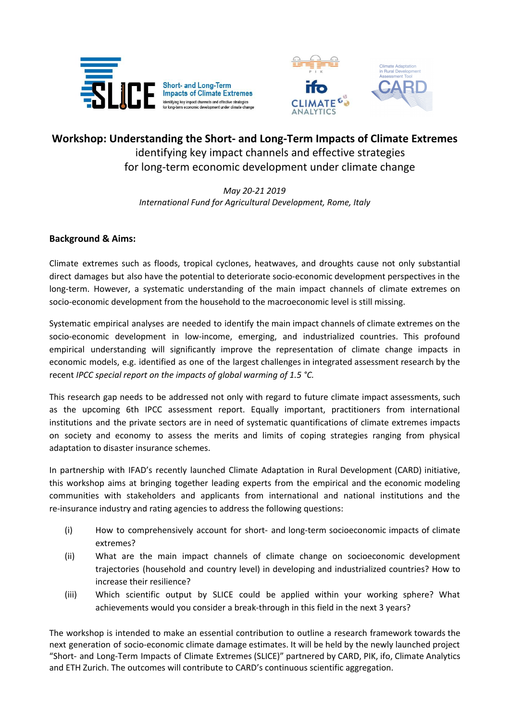

Short- and Long-Term<br>Impacts of Climate Extremes Identifying key impact channels and effective strategies



# **Workshop: Understanding the Short- and Long-Term Impacts of Climate Extremes** identifying key impact channels and effective strategies for long-term economic development under climate change

*May 20-21 2019 International Fund for Agricultural Development, Rome, Italy*

## **Background & Aims:**

Climate extremes such as floods, tropical cyclones, heatwaves, and droughts cause not only substantial direct damages but also have the potential to deteriorate socio-economic development perspectives in the long-term. However, a systematic understanding of the main impact channels of climate extremes on socio-economic development from the household to the macroeconomic level is still missing.

Systematic empirical analyses are needed to identify the main impact channels of climate extremes on the socio-economic development in low-income, emerging, and industrialized countries. This profound empirical understanding will significantly improve the representation of climate change impacts in economic models, e.g. identified as one of the largest challenges in integrated assessment research by the recent *IPCC special report on the impacts of global warming of 1.5 °C.*

This research gap needs to be addressed not only with regard to future climate impact assessments, such as the upcoming 6th IPCC assessment report. Equally important, practitioners from international institutions and the private sectors are in need of systematic quantifications of climate extremes impacts on society and economy to assess the merits and limits of coping strategies ranging from physical adaptation to disaster insurance schemes.

In partnership with IFAD's recently launched Climate Adaptation in Rural Development (CARD) initiative, this workshop aims at bringing together leading experts from the empirical and the economic modeling communities with stakeholders and applicants from international and national institutions and the re-insurance industry and rating agencies to address the following questions:

- (i) How to comprehensively account for short- and long-term socioeconomic impacts of climate extremes?
- (ii) What are the main impact channels of climate change on socioeconomic development trajectories (household and country level) in developing and industrialized countries? How to increase their resilience?
- (iii) Which scientific output by SLICE could be applied within your working sphere? What achievements would you consider a break-through in this field in the next 3 years?

The workshop is intended to make an essential contribution to outline a research framework towards the next generation of socio-economic climate damage estimates. It will be held by the newly launched project "Short- and Long-Term Impacts of Climate Extremes (SLICE)" partnered by CARD, PIK, ifo, Climate Analytics and ETH Zurich. The outcomes will contribute to CARD's continuous scientific aggregation.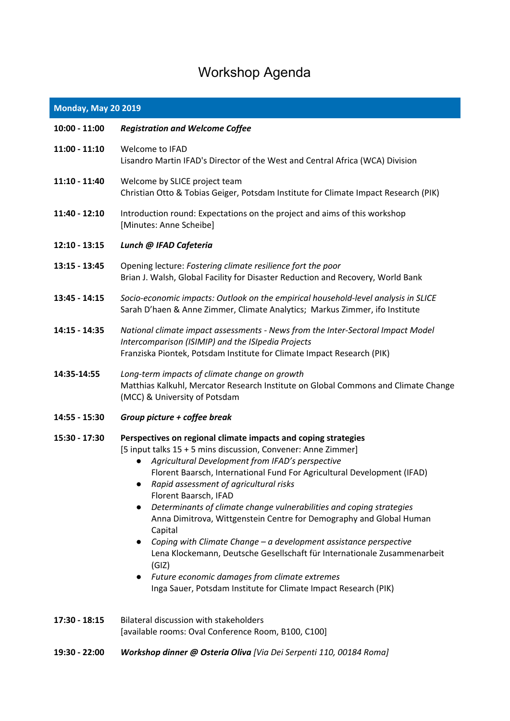# Workshop Agenda

# **Monday, May 20 2019**

| 10:00 - 11:00 | <b>Registration and Welcome Coffee</b>                                                                                                                                                                                                                                                                                                                                                                                                                                                                                                                                                                                                                                                                                                                                                 |
|---------------|----------------------------------------------------------------------------------------------------------------------------------------------------------------------------------------------------------------------------------------------------------------------------------------------------------------------------------------------------------------------------------------------------------------------------------------------------------------------------------------------------------------------------------------------------------------------------------------------------------------------------------------------------------------------------------------------------------------------------------------------------------------------------------------|
| 11:00 - 11:10 | Welcome to IFAD<br>Lisandro Martin IFAD's Director of the West and Central Africa (WCA) Division                                                                                                                                                                                                                                                                                                                                                                                                                                                                                                                                                                                                                                                                                       |
| 11:10 - 11:40 | Welcome by SLICE project team<br>Christian Otto & Tobias Geiger, Potsdam Institute for Climate Impact Research (PIK)                                                                                                                                                                                                                                                                                                                                                                                                                                                                                                                                                                                                                                                                   |
| 11:40 - 12:10 | Introduction round: Expectations on the project and aims of this workshop<br>[Minutes: Anne Scheibe]                                                                                                                                                                                                                                                                                                                                                                                                                                                                                                                                                                                                                                                                                   |
| 12:10 - 13:15 | Lunch @ IFAD Cafeteria                                                                                                                                                                                                                                                                                                                                                                                                                                                                                                                                                                                                                                                                                                                                                                 |
| 13:15 - 13:45 | Opening lecture: Fostering climate resilience fort the poor<br>Brian J. Walsh, Global Facility for Disaster Reduction and Recovery, World Bank                                                                                                                                                                                                                                                                                                                                                                                                                                                                                                                                                                                                                                         |
| 13:45 - 14:15 | Socio-economic impacts: Outlook on the empirical household-level analysis in SLICE<br>Sarah D'haen & Anne Zimmer, Climate Analytics; Markus Zimmer, ifo Institute                                                                                                                                                                                                                                                                                                                                                                                                                                                                                                                                                                                                                      |
| 14:15 - 14:35 | National climate impact assessments - News from the Inter-Sectoral Impact Model<br>Intercomparison (ISIMIP) and the ISIpedia Projects<br>Franziska Piontek, Potsdam Institute for Climate Impact Research (PIK)                                                                                                                                                                                                                                                                                                                                                                                                                                                                                                                                                                        |
| 14:35-14:55   | Long-term impacts of climate change on growth<br>Matthias Kalkuhl, Mercator Research Institute on Global Commons and Climate Change<br>(MCC) & University of Potsdam                                                                                                                                                                                                                                                                                                                                                                                                                                                                                                                                                                                                                   |
| 14:55 - 15:30 | Group picture + coffee break                                                                                                                                                                                                                                                                                                                                                                                                                                                                                                                                                                                                                                                                                                                                                           |
| 15:30 - 17:30 | Perspectives on regional climate impacts and coping strategies<br>[5 input talks 15 + 5 mins discussion, Convener: Anne Zimmer]<br>Agricultural Development from IFAD's perspective<br>$\bullet$<br>Florent Baarsch, International Fund For Agricultural Development (IFAD)<br>Rapid assessment of agricultural risks<br>Florent Baarsch, IFAD<br>Determinants of climate change vulnerabilities and coping strategies<br>Anna Dimitrova, Wittgenstein Centre for Demography and Global Human<br>Capital<br>Coping with Climate Change - a development assistance perspective<br>Lena Klockemann, Deutsche Gesellschaft für Internationale Zusammenarbeit<br>(GIZ)<br>Future economic damages from climate extremes<br>Inga Sauer, Potsdam Institute for Climate Impact Research (PIK) |
| 17:30 - 18:15 | <b>Bilateral discussion with stakeholders</b><br>[available rooms: Oval Conference Room, B100, C100]                                                                                                                                                                                                                                                                                                                                                                                                                                                                                                                                                                                                                                                                                   |

**19:30 - 22:00** *Workshop dinner @ Osteria Oliva [Via Dei Serpenti 110, 00184 Roma]*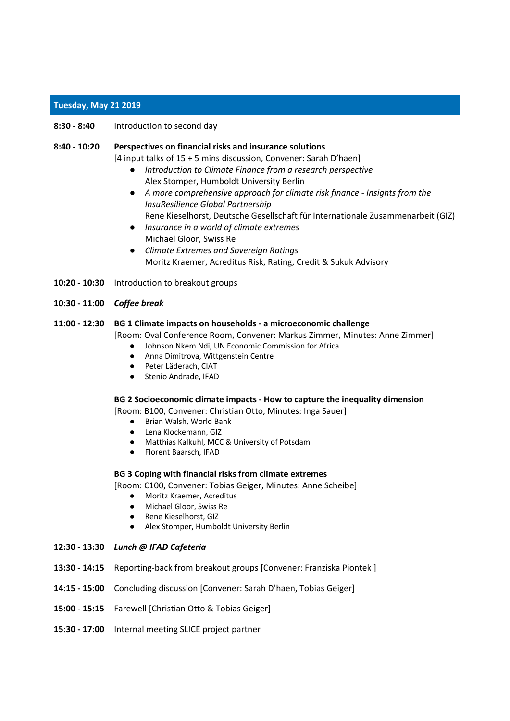### **Tuesday, May 21 2019**

**8:30 - 8:40** Introduction to second day

### **8:40 - 10:20 Perspectives on financial risks and insurance solutions**

[4 input talks of 15 + 5 mins discussion, Convener: Sarah D'haen]

- *Introduction to Climate Finance from a research perspective* Alex Stomper, Humboldt University Berlin
- *A more comprehensive approach for climate risk finance - Insights from the InsuResilience Global Partnership* Rene Kieselhorst, Deutsche Gesellschaft für Internationale Zusammenarbeit (GIZ)
- *Insurance in a world of climate extremes* Michael Gloor, Swiss Re
- *Climate Extremes and Sovereign Ratings* Moritz Kraemer, Acreditus Risk, Rating, Credit & Sukuk Advisory
- **10:20 - 10:30** Introduction to breakout groups
- **10:30 - 11:00** *Coffee break*

### **11:00 - 12:30 BG 1 Climate impacts on households - a microeconomic challenge**

[Room: Oval Conference Room, Convener: Markus Zimmer, Minutes: Anne Zimmer]

- Johnson Nkem Ndi, UN Economic Commission for Africa
- Anna Dimitrova, Wittgenstein Centre
- Peter Läderach, CIAT
- Stenio Andrade, IFAD

### **BG 2 Socioeconomic climate impacts - How to capture the inequality dimension**

[Room: B100, Convener: Christian Otto, Minutes: Inga Sauer]

- Brian Walsh, World Bank
- Lena Klockemann, GIZ
- Matthias Kalkuhl, MCC & University of Potsdam
- Florent Baarsch, IFAD

### **BG 3 Coping with financial risks from climate extremes**

[Room: C100, Convener: Tobias Geiger, Minutes: Anne Scheibe]

- Moritz Kraemer, Acreditus
- Michael Gloor, Swiss Re
- Rene Kieselhorst, GIZ
- Alex Stomper, Humboldt University Berlin

### **12:30 - 13:30** *Lunch @ IFAD Cafeteria*

- **13:30 - 14:15** Reporting-back from breakout groups [Convener: Franziska Piontek ]
- **14:15 - 15:00** Concluding discussion [Convener: Sarah D'haen, Tobias Geiger]
- **15:00 - 15:15** Farewell [Christian Otto & Tobias Geiger]
- **15:30 - 17:00** Internal meeting SLICE project partner